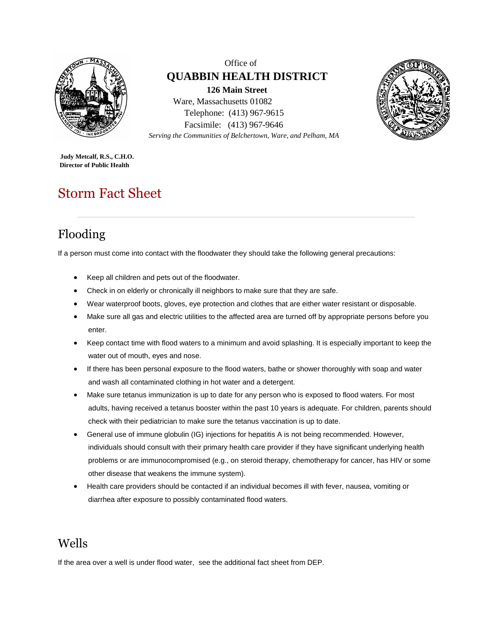

Office of **QUABBIN HEALTH DISTRICT 126 Main Street** Ware, Massachusetts 01082 Telephone: (413) 967-9615 Facsimile: (413) 967-9646 *Serving the Communities of Belchertown, Ware, and Pelham, MA*



**Judy Metcalf, R.S., C.H.O. Director of Public Health**

# Storm Fact Sheet

# Flooding

If a person must come into contact with the floodwater they should take the following general precautions:

- Keep all children and pets out of the floodwater.
- Check in on elderly or chronically ill neighbors to make sure that they are safe.
- Wear waterproof boots, gloves, eye protection and clothes that are either water resistant or disposable.
- Make sure all gas and electric utilities to the affected area are turned off by appropriate persons before you enter.
- Keep contact time with flood waters to a minimum and avoid splashing. It is especially important to keep the water out of mouth, eyes and nose.
- If there has been personal exposure to the flood waters, bathe or shower thoroughly with soap and water and wash all contaminated clothing in hot water and a detergent.
- Make sure tetanus immunization is up to date for any person who is exposed to flood waters. For most adults, having received a tetanus booster within the past 10 years is adequate. For children, parents should check with their pediatrician to make sure the tetanus vaccination is up to date.
- General use of immune globulin (IG) injections for hepatitis A is not being recommended. However, individuals should consult with their primary health care provider if they have significant underlying health problems or are immunocompromised (e.g., on steroid therapy, chemotherapy for cancer, has HIV or some other disease that weakens the immune system).
- Health care providers should be contacted if an individual becomes ill with fever, nausea, vomiting or diarrhea after exposure to possibly contaminated flood waters.

#### Wells

If the area over a well is under flood water, see the additional fact sheet from DEP.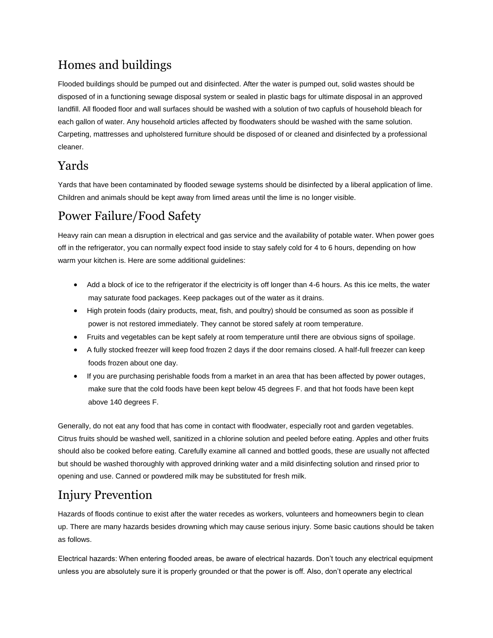### Homes and buildings

Flooded buildings should be pumped out and disinfected. After the water is pumped out, solid wastes should be disposed of in a functioning sewage disposal system or sealed in plastic bags for ultimate disposal in an approved landfill. All flooded floor and wall surfaces should be washed with a solution of two capfuls of household bleach for each gallon of water. Any household articles affected by floodwaters should be washed with the same solution. Carpeting, mattresses and upholstered furniture should be disposed of or cleaned and disinfected by a professional cleaner.

#### Yards

Yards that have been contaminated by flooded sewage systems should be disinfected by a liberal application of lime. Children and animals should be kept away from limed areas until the lime is no longer visible.

### Power Failure/Food Safety

Heavy rain can mean a disruption in electrical and gas service and the availability of potable water. When power goes off in the refrigerator, you can normally expect food inside to stay safely cold for 4 to 6 hours, depending on how warm your kitchen is. Here are some additional guidelines:

- Add a block of ice to the refrigerator if the electricity is off longer than 4-6 hours. As this ice melts, the water may saturate food packages. Keep packages out of the water as it drains.
- High protein foods (dairy products, meat, fish, and poultry) should be consumed as soon as possible if power is not restored immediately. They cannot be stored safely at room temperature.
- Fruits and vegetables can be kept safely at room temperature until there are obvious signs of spoilage.
- A fully stocked freezer will keep food frozen 2 days if the door remains closed. A half-full freezer can keep foods frozen about one day.
- If you are purchasing perishable foods from a market in an area that has been affected by power outages, make sure that the cold foods have been kept below 45 degrees F. and that hot foods have been kept above 140 degrees F.

Generally, do not eat any food that has come in contact with floodwater, especially root and garden vegetables. Citrus fruits should be washed well, sanitized in a chlorine solution and peeled before eating. Apples and other fruits should also be cooked before eating. Carefully examine all canned and bottled goods, these are usually not affected but should be washed thoroughly with approved drinking water and a mild disinfecting solution and rinsed prior to opening and use. Canned or powdered milk may be substituted for fresh milk.

## Injury Prevention

Hazards of floods continue to exist after the water recedes as workers, volunteers and homeowners begin to clean up. There are many hazards besides drowning which may cause serious injury. Some basic cautions should be taken as follows.

Electrical hazards: When entering flooded areas, be aware of electrical hazards. Don't touch any electrical equipment unless you are absolutely sure it is properly grounded or that the power is off. Also, don't operate any electrical